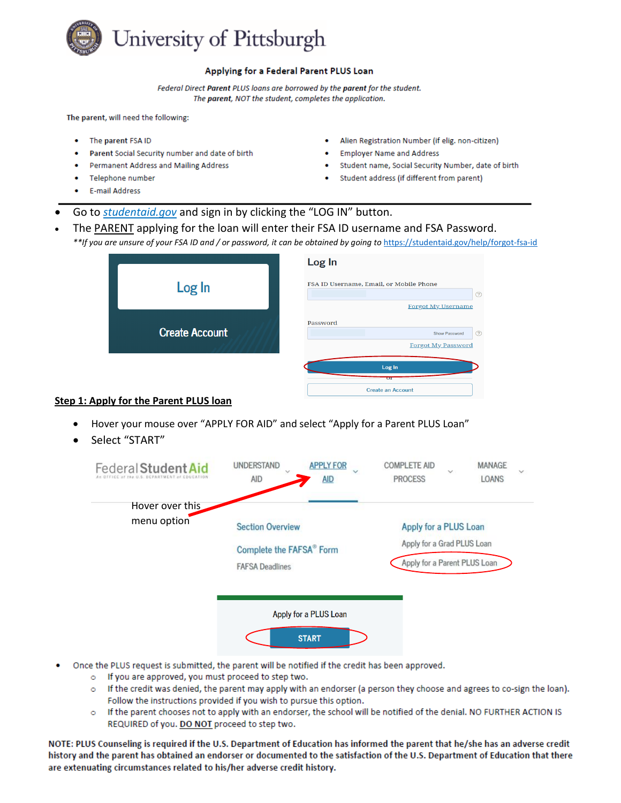

## Applying for a Federal Parent PLUS Loan

Federal Direct Parent PLUS loans are borrowed by the parent for the student. The parent, NOT the student, completes the application.

The parent, will need the following:

- The parent FSA ID ٠
- Parent Social Security number and date of birth
- Permanent Address and Mailing Address
- Telephone number
- E-mail Address
- Alien Registration Number (if elig. non-citizen)
- **Employer Name and Address**
- Student name, Social Security Number, date of birth
- Student address (if different from parent)
- Go to *studentaid.gov* and sign in by clicking the "LOG IN" button.
- The PARENT applying for the loan will enter their FSA ID username and FSA Password.
	- *\*\*If you are unsure of your FSA ID and / or password, it can be obtained by going to* [https://studentaid.gov/help/forgot-fsa-id](https://nam05.safelinks.protection.outlook.com/?url=https%3A%2F%2Fstudentaid.gov%2Fhelp%2Fforgot-fsa-id&data=02%7C01%7Crah81%40pitt.edu%7C8a45435084864a7d450f08d7e6dcf43d%7C9ef9f489e0a04eeb87cc3a526112fd0d%7C1%7C0%7C637231708968151361&sdata=Dwi0wmqRiejoHNByHtb7Fe0r4qVM2T%2FPKli8kD8wZ3M%3D&reserved=0)

|                       | Log In                                             |
|-----------------------|----------------------------------------------------|
| Log In                | FSA ID Username, Email, or Mobile Phone<br>$\odot$ |
|                       | <b>Forgot My Username</b>                          |
| <b>Create Account</b> | Password                                           |
|                       | $\odot$<br><b>Show Password</b>                    |
|                       | <b>Forgot My Password</b>                          |
|                       | Log In                                             |
|                       | $\sigma$                                           |
|                       | Create an Account                                  |

## **Step 1: Apply for the Parent PLUS loan**

- Hover your mouse over "APPLY FOR AID" and select "Apply for a Parent PLUS Loan"
- Select "START"



- Once the PLUS request is submitted, the parent will be notified if the credit has been approved.
	- o If you are approved, you must proceed to step two.
	- o If the credit was denied, the parent may apply with an endorser (a person they choose and agrees to co-sign the loan). Follow the instructions provided if you wish to pursue this option.
	- o If the parent chooses not to apply with an endorser, the school will be notified of the denial. NO FURTHER ACTION IS REQUIRED of you. DO NOT proceed to step two.

NOTE: PLUS Counseling is required if the U.S. Department of Education has informed the parent that he/she has an adverse credit history and the parent has obtained an endorser or documented to the satisfaction of the U.S. Department of Education that there are extenuating circumstances related to his/her adverse credit history.